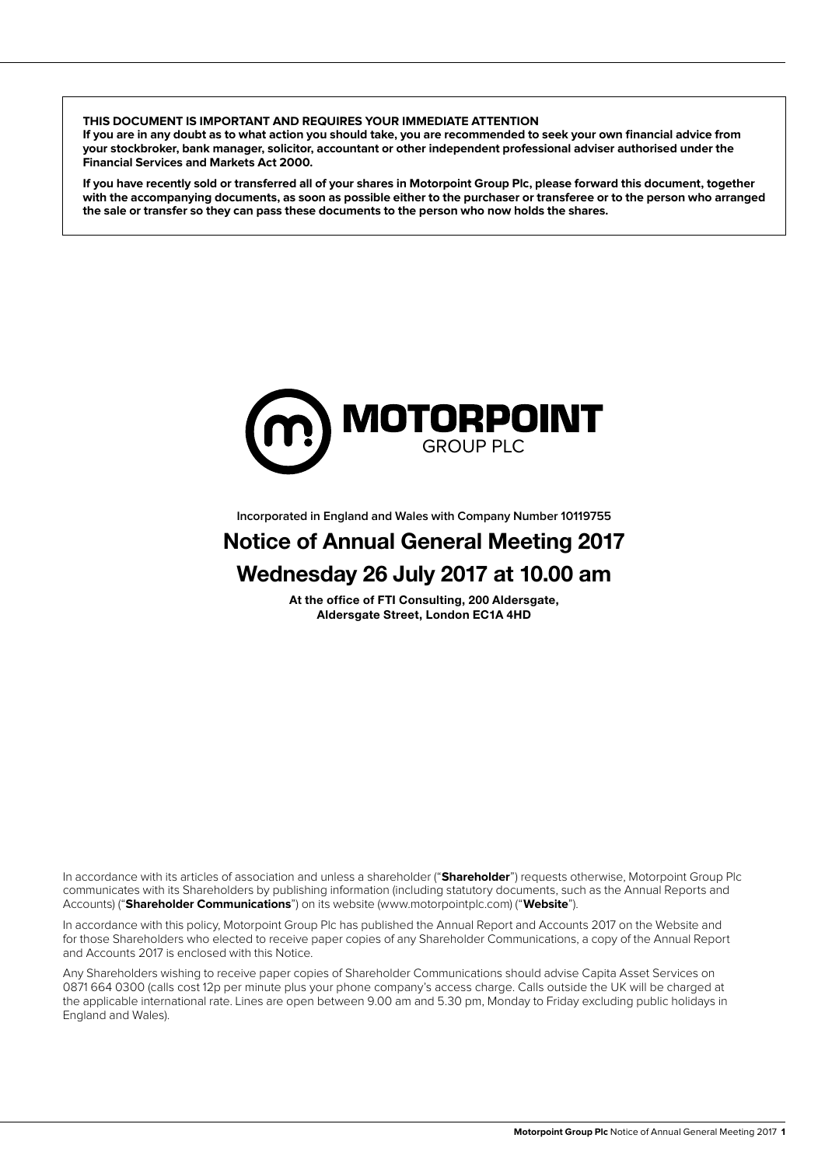**THIS DOCUMENT IS IMPORTANT AND REQUIRES YOUR IMMEDIATE ATTENTION**

**If you are in any doubt as to what action you should take, you are recommended to seek your own financial advice from your stockbroker, bank manager, solicitor, accountant or other independent professional adviser authorised under the Financial Services and Markets Act 2000.**

**If you have recently sold or transferred all of your shares in Motorpoint Group Plc, please forward this document, together with the accompanying documents, as soon as possible either to the purchaser or transferee or to the person who arranged the sale or transfer so they can pass these documents to the person who now holds the shares.**



**Incorporated in England and Wales with Company Number 10119755**

# Notice of Annual General Meeting 2017 Wednesday 26 July 2017 at 10.00 am

At the office of FTI Consulting, 200 Aldersgate, Aldersgate Street, London EC1A 4HD

In accordance with its articles of association and unless a shareholder ("**Shareholder**") requests otherwise, Motorpoint Group Plc communicates with its Shareholders by publishing information (including statutory documents, such as the Annual Reports and Accounts) ("**Shareholder Communications**") on its website (www.motorpointplc.com) ("**Website**").

In accordance with this policy, Motorpoint Group Plc has published the Annual Report and Accounts 2017 on the Website and for those Shareholders who elected to receive paper copies of any Shareholder Communications, a copy of the Annual Report and Accounts 2017 is enclosed with this Notice.

Any Shareholders wishing to receive paper copies of Shareholder Communications should advise Capita Asset Services on 0871 664 0300 (calls cost 12p per minute plus your phone company's access charge. Calls outside the UK will be charged at the applicable international rate. Lines are open between 9.00 am and 5.30 pm, Monday to Friday excluding public holidays in England and Wales).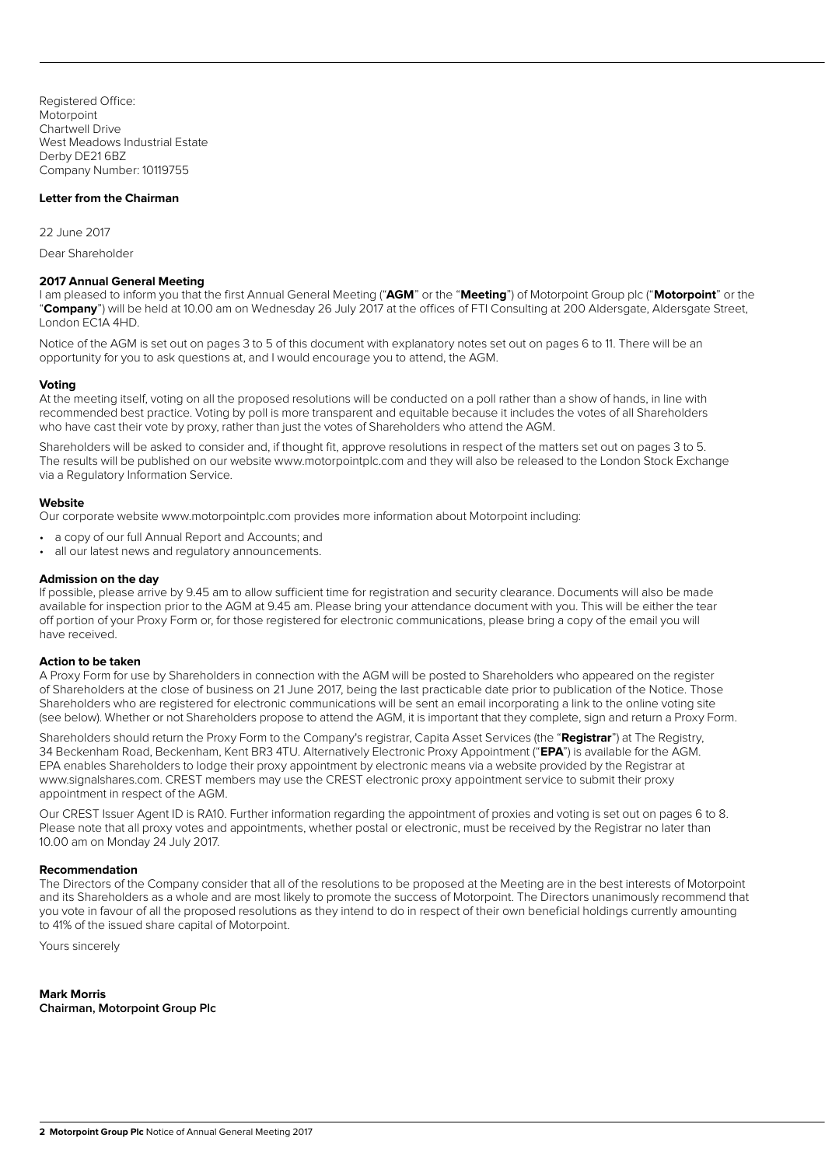Registered Office: **Motorpoint** Chartwell Drive West Meadows Industrial Estate Derby DE21 6BZ Company Number: 10119755

## **Letter from the Chairman**

22 June 2017

Dear Shareholder

#### **2017 Annual General Meeting**

I am pleased to inform you that the first Annual General Meeting ("**AGM**" or the "**Meeting**") of Motorpoint Group plc ("**Motorpoint**" or the "**Company**") will be held at 10.00 am on Wednesday 26 July 2017 at the offices of FTI Consulting at 200 Aldersgate, Aldersgate Street, London EC1A 4HD.

Notice of the AGM is set out on pages 3 to 5 of this document with explanatory notes set out on pages 6 to 11. There will be an opportunity for you to ask questions at, and I would encourage you to attend, the AGM.

#### **Voting**

At the meeting itself, voting on all the proposed resolutions will be conducted on a poll rather than a show of hands, in line with recommended best practice. Voting by poll is more transparent and equitable because it includes the votes of all Shareholders who have cast their vote by proxy, rather than just the votes of Shareholders who attend the AGM.

Shareholders will be asked to consider and, if thought fit, approve resolutions in respect of the matters set out on pages 3 to 5. The results will be published on our website www.motorpointplc.com and they will also be released to the London Stock Exchange via a Regulatory Information Service.

#### **Website**

Our corporate website www.motorpointplc.com provides more information about Motorpoint including:

- a copy of our full Annual Report and Accounts; and
- all our latest news and regulatory announcements.

#### **Admission on the day**

If possible, please arrive by 9.45 am to allow sufficient time for registration and security clearance. Documents will also be made available for inspection prior to the AGM at 9.45 am. Please bring your attendance document with you. This will be either the tear off portion of your Proxy Form or, for those registered for electronic communications, please bring a copy of the email you will have received.

#### **Action to be taken**

A Proxy Form for use by Shareholders in connection with the AGM will be posted to Shareholders who appeared on the register of Shareholders at the close of business on 21 June 2017, being the last practicable date prior to publication of the Notice. Those Shareholders who are registered for electronic communications will be sent an email incorporating a link to the online voting site (see below). Whether or not Shareholders propose to attend the AGM, it is important that they complete, sign and return a Proxy Form.

Shareholders should return the Proxy Form to the Company's registrar, Capita Asset Services (the "**Registrar**") at The Registry, 34 Beckenham Road, Beckenham, Kent BR3 4TU. Alternatively Electronic Proxy Appointment ("**EPA**") is available for the AGM. EPA enables Shareholders to lodge their proxy appointment by electronic means via a website provided by the Registrar at www.signalshares.com. CREST members may use the CREST electronic proxy appointment service to submit their proxy appointment in respect of the AGM.

Our CREST Issuer Agent ID is RA10. Further information regarding the appointment of proxies and voting is set out on pages 6 to 8. Please note that all proxy votes and appointments, whether postal or electronic, must be received by the Registrar no later than 10.00 am on Monday 24 July 2017.

# **Recommendation**

The Directors of the Company consider that all of the resolutions to be proposed at the Meeting are in the best interests of Motorpoint and its Shareholders as a whole and are most likely to promote the success of Motorpoint. The Directors unanimously recommend that you vote in favour of all the proposed resolutions as they intend to do in respect of their own beneficial holdings currently amounting to 41% of the issued share capital of Motorpoint.

Yours sincerely

**Mark Morris Chairman, Motorpoint Group Plc**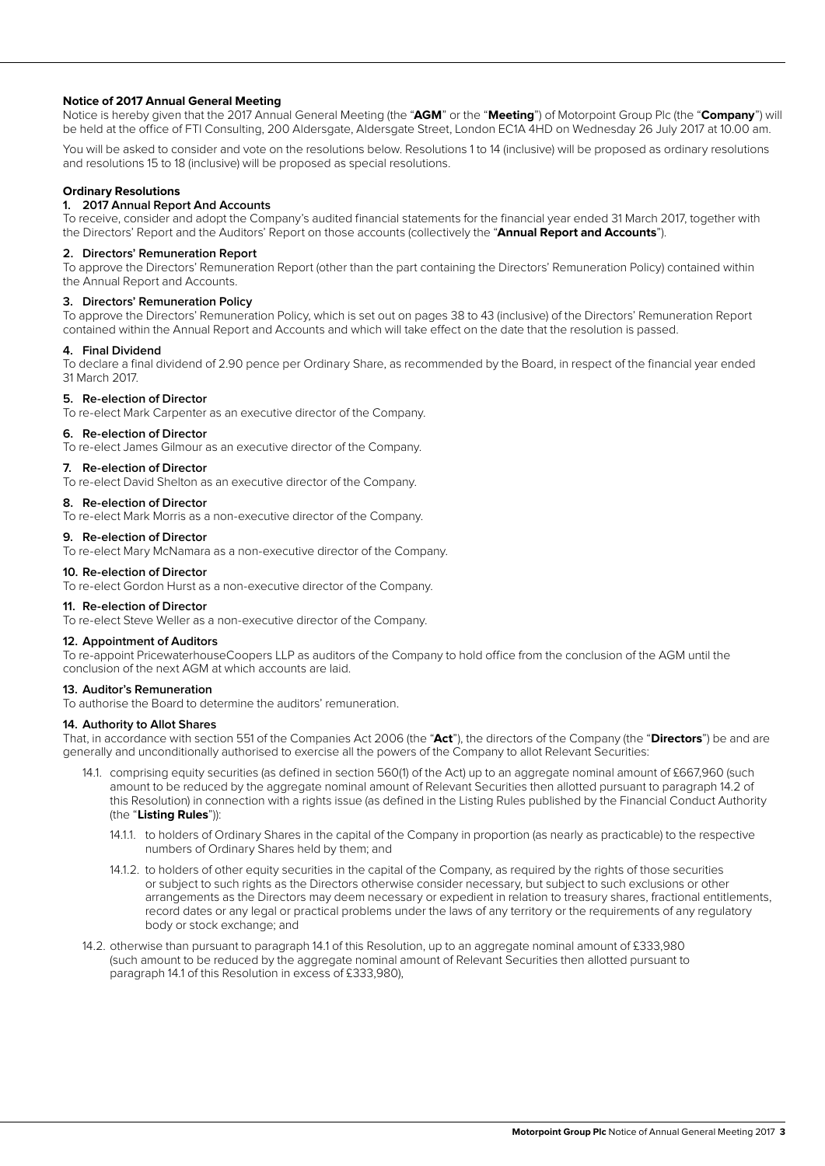# **Notice of 2017 Annual General Meeting**

Notice is hereby given that the 2017 Annual General Meeting (the "**AGM**" or the "**Meeting**") of Motorpoint Group Plc (the "**Company**") will be held at the office of FTI Consulting, 200 Aldersgate, Aldersgate Street, London EC1A 4HD on Wednesday 26 July 2017 at 10.00 am.

You will be asked to consider and vote on the resolutions below. Resolutions 1 to 14 (inclusive) will be proposed as ordinary resolutions and resolutions 15 to 18 (inclusive) will be proposed as special resolutions.

# **Ordinary Resolutions**

# **1. 2017 Annual Report And Accounts**

To receive, consider and adopt the Company's audited financial statements for the financial year ended 31 March 2017, together with the Directors' Report and the Auditors' Report on those accounts (collectively the "**Annual Report and Accounts**").

#### **2. Directors' Remuneration Report**

To approve the Directors' Remuneration Report (other than the part containing the Directors' Remuneration Policy) contained within the Annual Report and Accounts.

#### **3. Directors' Remuneration Policy**

To approve the Directors' Remuneration Policy, which is set out on pages 38 to 43 (inclusive) of the Directors' Remuneration Report contained within the Annual Report and Accounts and which will take effect on the date that the resolution is passed.

#### **4. Final Dividend**

To declare a final dividend of 2.90 pence per Ordinary Share, as recommended by the Board, in respect of the financial year ended 31 March 2017.

#### **5. Re-election of Director**

To re-elect Mark Carpenter as an executive director of the Company.

#### **6. Re-election of Director**

To re-elect James Gilmour as an executive director of the Company.

#### **7. Re-election of Director**

To re-elect David Shelton as an executive director of the Company.

#### **8. Re-election of Director**

To re-elect Mark Morris as a non-executive director of the Company.

## **9. Re-election of Director**

To re-elect Mary McNamara as a non-executive director of the Company.

# **10. Re-election of Director**

To re-elect Gordon Hurst as a non-executive director of the Company.

#### **11. Re-election of Director**

To re-elect Steve Weller as a non-executive director of the Company.

#### **12. Appointment of Auditors**

To re-appoint PricewaterhouseCoopers LLP as auditors of the Company to hold office from the conclusion of the AGM until the conclusion of the next AGM at which accounts are laid.

# **13. Auditor's Remuneration**

To authorise the Board to determine the auditors' remuneration.

# **14. Authority to Allot Shares**

That, in accordance with section 551 of the Companies Act 2006 (the "**Act**"), the directors of the Company (the "**Directors**") be and are generally and unconditionally authorised to exercise all the powers of the Company to allot Relevant Securities:

- 14.1. comprising equity securities (as defined in section 560(1) of the Act) up to an aggregate nominal amount of £667,960 (such amount to be reduced by the aggregate nominal amount of Relevant Securities then allotted pursuant to paragraph 14.2 of this Resolution) in connection with a rights issue (as defined in the Listing Rules published by the Financial Conduct Authority (the "**Listing Rules**")):
	- 14.1.1. to holders of Ordinary Shares in the capital of the Company in proportion (as nearly as practicable) to the respective numbers of Ordinary Shares held by them; and
	- 14.1.2. to holders of other equity securities in the capital of the Company, as required by the rights of those securities or subject to such rights as the Directors otherwise consider necessary, but subject to such exclusions or other arrangements as the Directors may deem necessary or expedient in relation to treasury shares, fractional entitlements, record dates or any legal or practical problems under the laws of any territory or the requirements of any regulatory body or stock exchange; and
- 14.2. otherwise than pursuant to paragraph 14.1 of this Resolution, up to an aggregate nominal amount of £333,980 (such amount to be reduced by the aggregate nominal amount of Relevant Securities then allotted pursuant to paragraph 14.1 of this Resolution in excess of £333,980),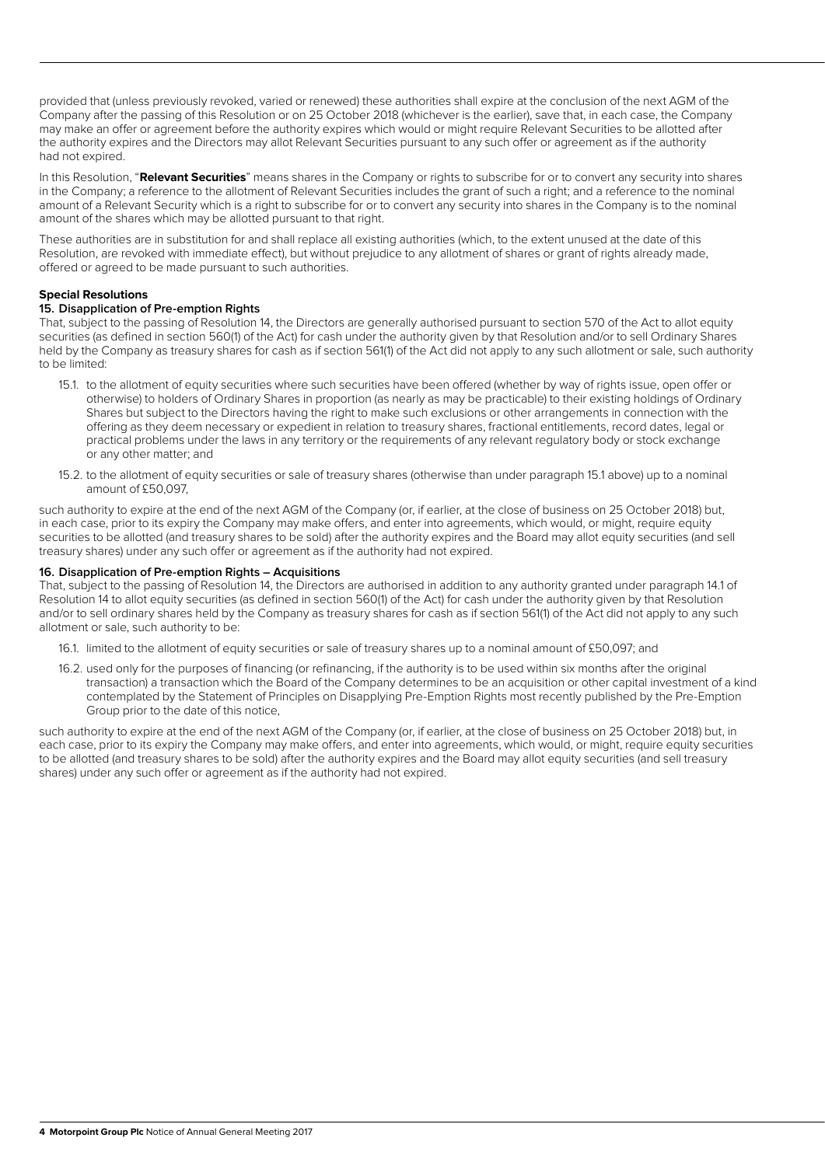provided that (unless previously revoked, varied or renewed) these authorities shall expire at the conclusion of the next AGM of the Company after the passing of this Resolution or on 25 October 2018 (whichever is the earlier), save that, in each case, the Company may make an offer or agreement before the authority expires which would or might require Relevant Securities to be allotted after the authority expires and the Directors may allot Relevant Securities pursuant to any such offer or agreement as if the authority had not expired.

In this Resolution, "**Relevant Securities**" means shares in the Company or rights to subscribe for or to convert any security into shares in the Company; a reference to the allotment of Relevant Securities includes the grant of such a right; and a reference to the nominal amount of a Relevant Security which is a right to subscribe for or to convert any security into shares in the Company is to the nominal amount of the shares which may be allotted pursuant to that right.

These authorities are in substitution for and shall replace all existing authorities (which, to the extent unused at the date of this Resolution, are revoked with immediate effect), but without prejudice to any allotment of shares or grant of rights already made, offered or agreed to be made pursuant to such authorities.

# **Special Resolutions**

# **15. Disapplication of Pre-emption Rights**

That, subject to the passing of Resolution 14, the Directors are generally authorised pursuant to section 570 of the Act to allot equity securities (as defined in section 560(1) of the Act) for cash under the authority given by that Resolution and/or to sell Ordinary Shares held by the Company as treasury shares for cash as if section 561(1) of the Act did not apply to any such allotment or sale, such authority to be limited:

- 15.1. to the allotment of equity securities where such securities have been offered (whether by way of rights issue, open offer or otherwise) to holders of Ordinary Shares in proportion (as nearly as may be practicable) to their existing holdings of Ordinary Shares but subject to the Directors having the right to make such exclusions or other arrangements in connection with the offering as they deem necessary or expedient in relation to treasury shares, fractional entitlements, record dates, legal or practical problems under the laws in any territory or the requirements of any relevant regulatory body or stock exchange or any other matter; and
- 15.2. to the allotment of equity securities or sale of treasury shares (otherwise than under paragraph 15.1 above) up to a nominal amount of £50,097,

such authority to expire at the end of the next AGM of the Company (or, if earlier, at the close of business on 25 October 2018) but, in each case, prior to its expiry the Company may make offers, and enter into agreements, which would, or might, require equity securities to be allotted (and treasury shares to be sold) after the authority expires and the Board may allot equity securities (and sell treasury shares) under any such offer or agreement as if the authority had not expired.

# **16. Disapplication of Pre-emption Rights – Acquisitions**

That, subject to the passing of Resolution 14, the Directors are authorised in addition to any authority granted under paragraph 14.1 of Resolution 14 to allot equity securities (as defined in section 560(1) of the Act) for cash under the authority given by that Resolution and/or to sell ordinary shares held by the Company as treasury shares for cash as if section 561(1) of the Act did not apply to any such allotment or sale, such authority to be:

- 16.1. limited to the allotment of equity securities or sale of treasury shares up to a nominal amount of £50,097; and
- 16.2. used only for the purposes of financing (or refinancing, if the authority is to be used within six months after the original transaction) a transaction which the Board of the Company determines to be an acquisition or other capital investment of a kind contemplated by the Statement of Principles on Disapplying Pre-Emption Rights most recently published by the Pre-Emption Group prior to the date of this notice,

such authority to expire at the end of the next AGM of the Company (or, if earlier, at the close of business on 25 October 2018) but, in each case, prior to its expiry the Company may make offers, and enter into agreements, which would, or might, require equity securities to be allotted (and treasury shares to be sold) after the authority expires and the Board may allot equity securities (and sell treasury shares) under any such offer or agreement as if the authority had not expired.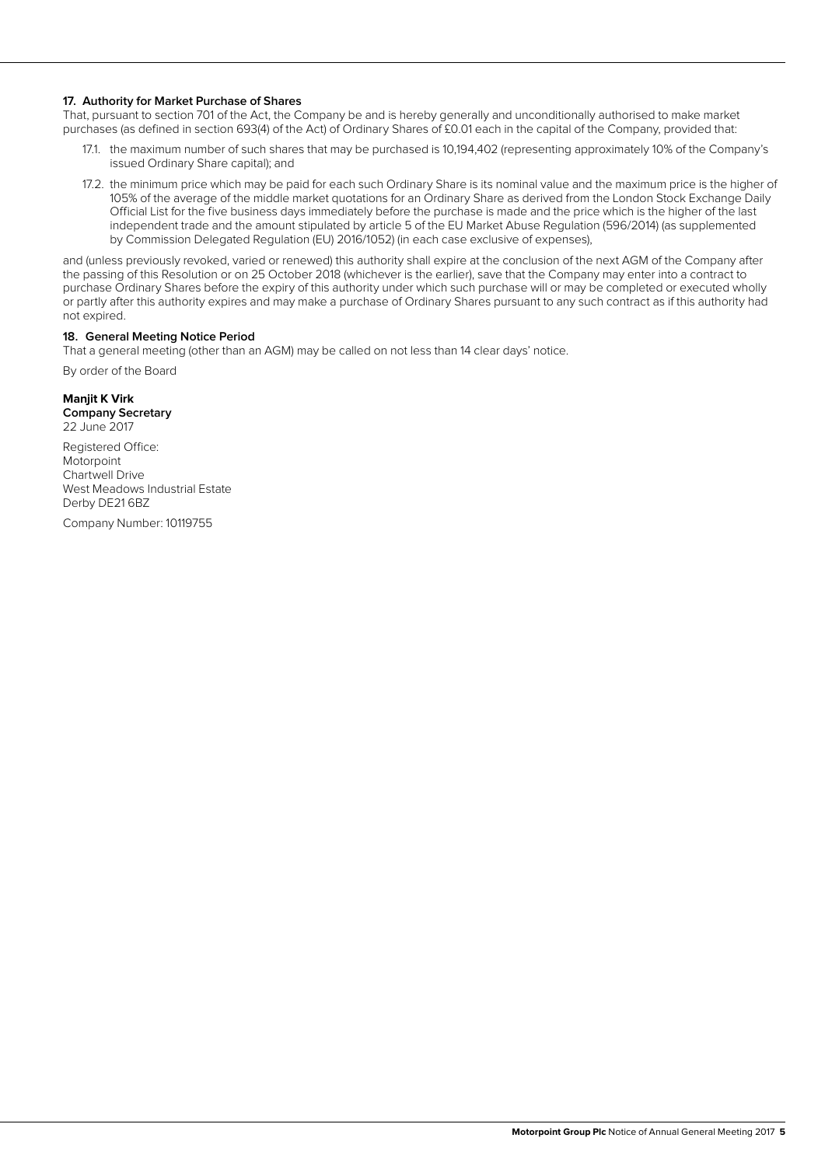# **17. Authority for Market Purchase of Shares**

That, pursuant to section 701 of the Act, the Company be and is hereby generally and unconditionally authorised to make market purchases (as defined in section 693(4) of the Act) of Ordinary Shares of £0.01 each in the capital of the Company, provided that:

- 17.1. the maximum number of such shares that may be purchased is 10,194,402 (representing approximately 10% of the Company's issued Ordinary Share capital); and
- 17.2. the minimum price which may be paid for each such Ordinary Share is its nominal value and the maximum price is the higher of 105% of the average of the middle market quotations for an Ordinary Share as derived from the London Stock Exchange Daily Official List for the five business days immediately before the purchase is made and the price which is the higher of the last independent trade and the amount stipulated by article 5 of the EU Market Abuse Regulation (596/2014) (as supplemented by Commission Delegated Regulation (EU) 2016/1052) (in each case exclusive of expenses),

and (unless previously revoked, varied or renewed) this authority shall expire at the conclusion of the next AGM of the Company after the passing of this Resolution or on 25 October 2018 (whichever is the earlier), save that the Company may enter into a contract to purchase Ordinary Shares before the expiry of this authority under which such purchase will or may be completed or executed wholly or partly after this authority expires and may make a purchase of Ordinary Shares pursuant to any such contract as if this authority had not expired.

#### **18. General Meeting Notice Period**

That a general meeting (other than an AGM) may be called on not less than 14 clear days' notice.

By order of the Board

# **Manjit K Virk**

**Company Secretary** 22 June 2017

Registered Office: Motorpoint Chartwell Drive West Meadows Industrial Estate Derby DE21 6BZ

Company Number: 10119755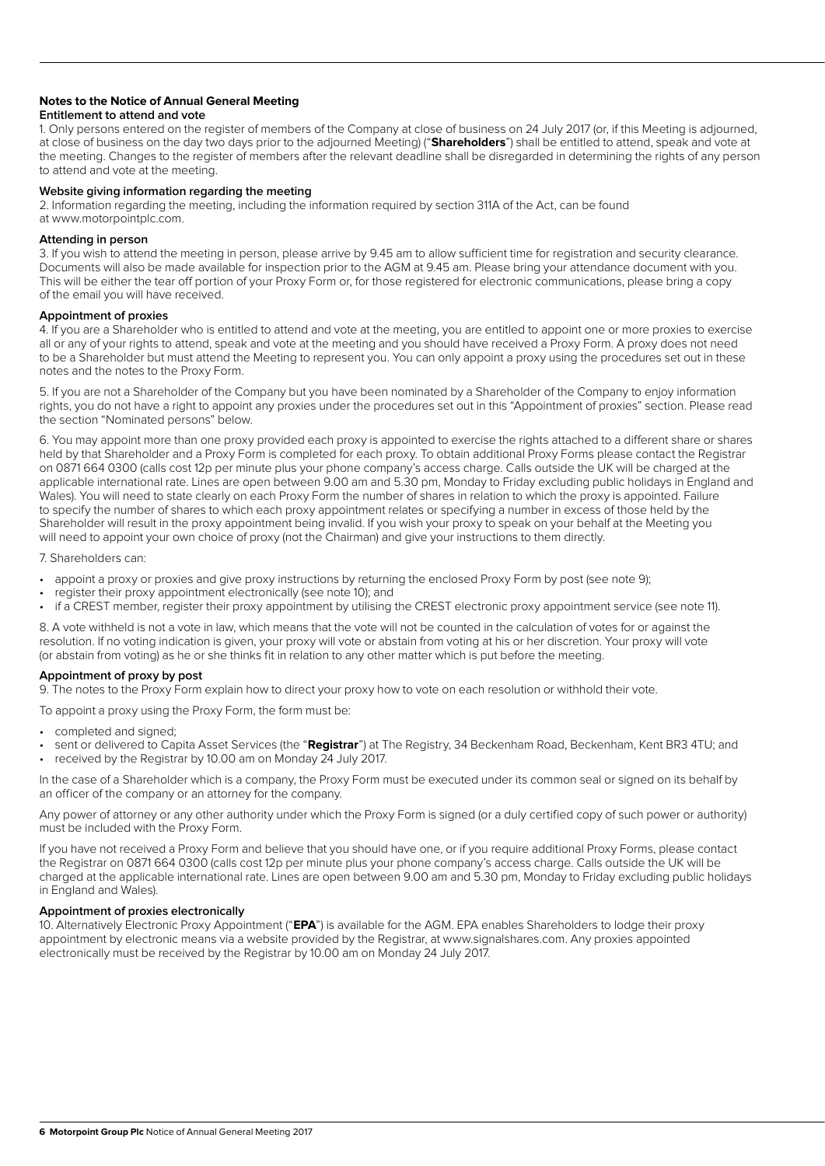# **Notes to the Notice of Annual General Meeting**

## **Entitlement to attend and vote**

1. Only persons entered on the register of members of the Company at close of business on 24 July 2017 (or, if this Meeting is adjourned, at close of business on the day two days prior to the adjourned Meeting) ("**Shareholders**") shall be entitled to attend, speak and vote at the meeting. Changes to the register of members after the relevant deadline shall be disregarded in determining the rights of any person to attend and vote at the meeting.

# **Website giving information regarding the meeting**

2. Information regarding the meeting, including the information required by section 311A of the Act, can be found at www.motorpointplc.com.

## **Attending in person**

3. If you wish to attend the meeting in person, please arrive by 9.45 am to allow sufficient time for registration and security clearance. Documents will also be made available for inspection prior to the AGM at 9.45 am. Please bring your attendance document with you. This will be either the tear off portion of your Proxy Form or, for those registered for electronic communications, please bring a copy of the email you will have received.

# **Appointment of proxies**

4. If you are a Shareholder who is entitled to attend and vote at the meeting, you are entitled to appoint one or more proxies to exercise all or any of your rights to attend, speak and vote at the meeting and you should have received a Proxy Form. A proxy does not need to be a Shareholder but must attend the Meeting to represent you. You can only appoint a proxy using the procedures set out in these notes and the notes to the Proxy Form.

5. If you are not a Shareholder of the Company but you have been nominated by a Shareholder of the Company to enjoy information rights, you do not have a right to appoint any proxies under the procedures set out in this "Appointment of proxies" section. Please read the section "Nominated persons" below.

6. You may appoint more than one proxy provided each proxy is appointed to exercise the rights attached to a different share or shares held by that Shareholder and a Proxy Form is completed for each proxy. To obtain additional Proxy Forms please contact the Registrar on 0871 664 0300 (calls cost 12p per minute plus your phone company's access charge. Calls outside the UK will be charged at the applicable international rate. Lines are open between 9.00 am and 5.30 pm, Monday to Friday excluding public holidays in England and Wales). You will need to state clearly on each Proxy Form the number of shares in relation to which the proxy is appointed. Failure to specify the number of shares to which each proxy appointment relates or specifying a number in excess of those held by the Shareholder will result in the proxy appointment being invalid. If you wish your proxy to speak on your behalf at the Meeting you will need to appoint your own choice of proxy (not the Chairman) and give your instructions to them directly.

#### 7. Shareholders can:

- appoint a proxy or proxies and give proxy instructions by returning the enclosed Proxy Form by post (see note 9);
- register their proxy appointment electronically (see note 10); and
- if a CREST member, register their proxy appointment by utilising the CREST electronic proxy appointment service (see note 11).

8. A vote withheld is not a vote in law, which means that the vote will not be counted in the calculation of votes for or against the resolution. If no voting indication is given, your proxy will vote or abstain from voting at his or her discretion. Your proxy will vote (or abstain from voting) as he or she thinks fit in relation to any other matter which is put before the meeting.

# **Appointment of proxy by post**

9. The notes to the Proxy Form explain how to direct your proxy how to vote on each resolution or withhold their vote.

To appoint a proxy using the Proxy Form, the form must be:

- completed and signed;
- sent or delivered to Capita Asset Services (the "**Registrar**") at The Registry, 34 Beckenham Road, Beckenham, Kent BR3 4TU; and
- received by the Registrar by 10.00 am on Monday 24 July 2017.

In the case of a Shareholder which is a company, the Proxy Form must be executed under its common seal or signed on its behalf by an officer of the company or an attorney for the company.

Any power of attorney or any other authority under which the Proxy Form is signed (or a duly certified copy of such power or authority) must be included with the Proxy Form.

If you have not received a Proxy Form and believe that you should have one, or if you require additional Proxy Forms, please contact the Registrar on 0871 664 0300 (calls cost 12p per minute plus your phone company's access charge. Calls outside the UK will be charged at the applicable international rate. Lines are open between 9.00 am and 5.30 pm, Monday to Friday excluding public holidays in England and Wales).

# **Appointment of proxies electronically**

10. Alternatively Electronic Proxy Appointment ("**EPA**") is available for the AGM. EPA enables Shareholders to lodge their proxy appointment by electronic means via a website provided by the Registrar, at www.signalshares.com. Any proxies appointed electronically must be received by the Registrar by 10.00 am on Monday 24 July 2017.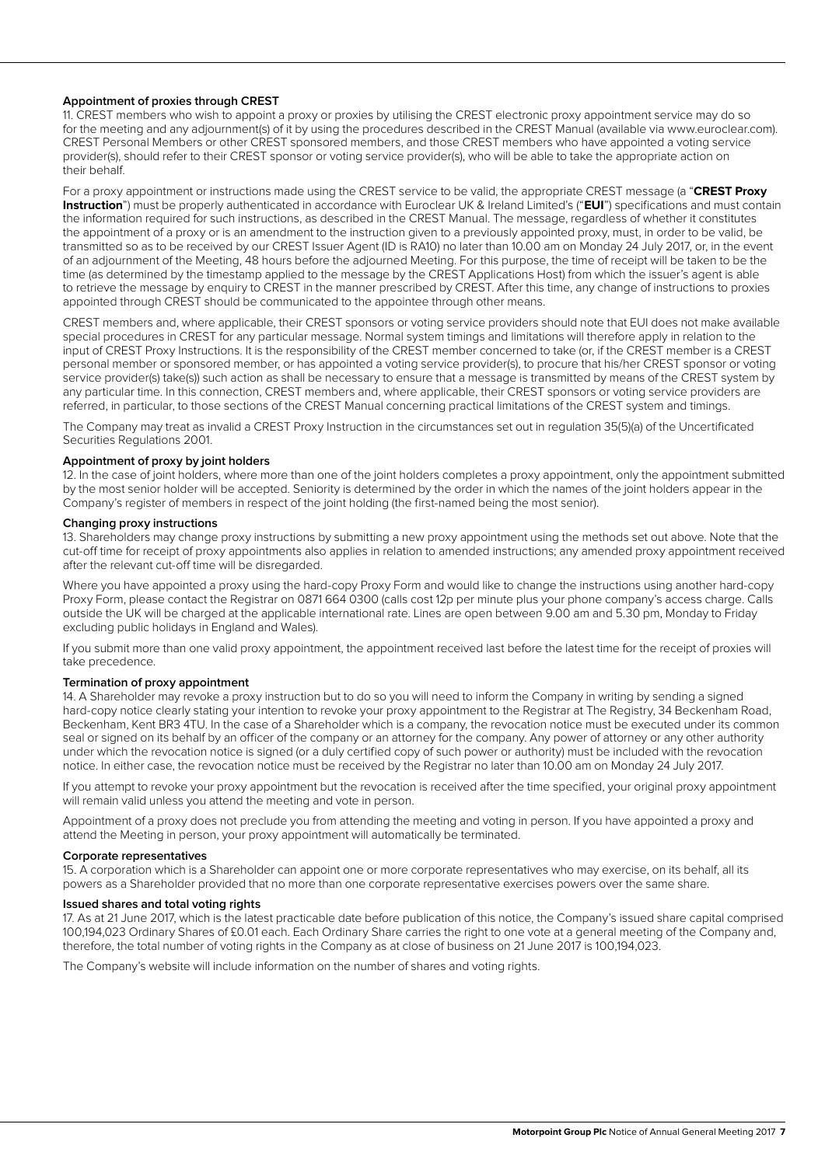## **Appointment of proxies through CREST**

11. CREST members who wish to appoint a proxy or proxies by utilising the CREST electronic proxy appointment service may do so for the meeting and any adjournment(s) of it by using the procedures described in the CREST Manual (available via www.euroclear.com). CREST Personal Members or other CREST sponsored members, and those CREST members who have appointed a voting service provider(s), should refer to their CREST sponsor or voting service provider(s), who will be able to take the appropriate action on their behalf.

For a proxy appointment or instructions made using the CREST service to be valid, the appropriate CREST message (a "**CREST Proxy Instruction**") must be properly authenticated in accordance with Euroclear UK & Ireland Limited's ("**EUI**") specifications and must contain the information required for such instructions, as described in the CREST Manual. The message, regardless of whether it constitutes the appointment of a proxy or is an amendment to the instruction given to a previously appointed proxy, must, in order to be valid, be transmitted so as to be received by our CREST Issuer Agent (ID is RA10) no later than 10.00 am on Monday 24 July 2017, or, in the event of an adjournment of the Meeting, 48 hours before the adjourned Meeting. For this purpose, the time of receipt will be taken to be the time (as determined by the timestamp applied to the message by the CREST Applications Host) from which the issuer's agent is able to retrieve the message by enquiry to CREST in the manner prescribed by CREST. After this time, any change of instructions to proxies appointed through CREST should be communicated to the appointee through other means.

CREST members and, where applicable, their CREST sponsors or voting service providers should note that EUI does not make available special procedures in CREST for any particular message. Normal system timings and limitations will therefore apply in relation to the input of CREST Proxy Instructions. It is the responsibility of the CREST member concerned to take (or, if the CREST member is a CREST personal member or sponsored member, or has appointed a voting service provider(s), to procure that his/her CREST sponsor or voting service provider(s) take(s)) such action as shall be necessary to ensure that a message is transmitted by means of the CREST system by any particular time. In this connection, CREST members and, where applicable, their CREST sponsors or voting service providers are referred, in particular, to those sections of the CREST Manual concerning practical limitations of the CREST system and timings.

The Company may treat as invalid a CREST Proxy Instruction in the circumstances set out in regulation 35(5)(a) of the Uncertificated Securities Regulations 2001.

#### **Appointment of proxy by joint holders**

12. In the case of joint holders, where more than one of the joint holders completes a proxy appointment, only the appointment submitted by the most senior holder will be accepted. Seniority is determined by the order in which the names of the joint holders appear in the Company's register of members in respect of the joint holding (the first-named being the most senior).

#### **Changing proxy instructions**

13. Shareholders may change proxy instructions by submitting a new proxy appointment using the methods set out above. Note that the cut-off time for receipt of proxy appointments also applies in relation to amended instructions; any amended proxy appointment received after the relevant cut-off time will be disregarded.

Where you have appointed a proxy using the hard-copy Proxy Form and would like to change the instructions using another hard-copy Proxy Form, please contact the Registrar on 0871 664 0300 (calls cost 12p per minute plus your phone company's access charge. Calls outside the UK will be charged at the applicable international rate. Lines are open between 9.00 am and 5.30 pm, Monday to Friday excluding public holidays in England and Wales).

If you submit more than one valid proxy appointment, the appointment received last before the latest time for the receipt of proxies will take precedence.

#### **Termination of proxy appointment**

14. A Shareholder may revoke a proxy instruction but to do so you will need to inform the Company in writing by sending a signed hard-copy notice clearly stating your intention to revoke your proxy appointment to the Registrar at The Registry, 34 Beckenham Road, Beckenham, Kent BR3 4TU. In the case of a Shareholder which is a company, the revocation notice must be executed under its common seal or signed on its behalf by an officer of the company or an attorney for the company. Any power of attorney or any other authority under which the revocation notice is signed (or a duly certified copy of such power or authority) must be included with the revocation notice. In either case, the revocation notice must be received by the Registrar no later than 10.00 am on Monday 24 July 2017.

If you attempt to revoke your proxy appointment but the revocation is received after the time specified, your original proxy appointment will remain valid unless you attend the meeting and vote in person.

Appointment of a proxy does not preclude you from attending the meeting and voting in person. If you have appointed a proxy and attend the Meeting in person, your proxy appointment will automatically be terminated.

# **Corporate representatives**

15. A corporation which is a Shareholder can appoint one or more corporate representatives who may exercise, on its behalf, all its powers as a Shareholder provided that no more than one corporate representative exercises powers over the same share.

#### **Issued shares and total voting rights**

17. As at 21 June 2017, which is the latest practicable date before publication of this notice, the Company's issued share capital comprised 100,194,023 Ordinary Shares of £0.01 each. Each Ordinary Share carries the right to one vote at a general meeting of the Company and, therefore, the total number of voting rights in the Company as at close of business on 21 June 2017 is 100,194,023.

The Company's website will include information on the number of shares and voting rights.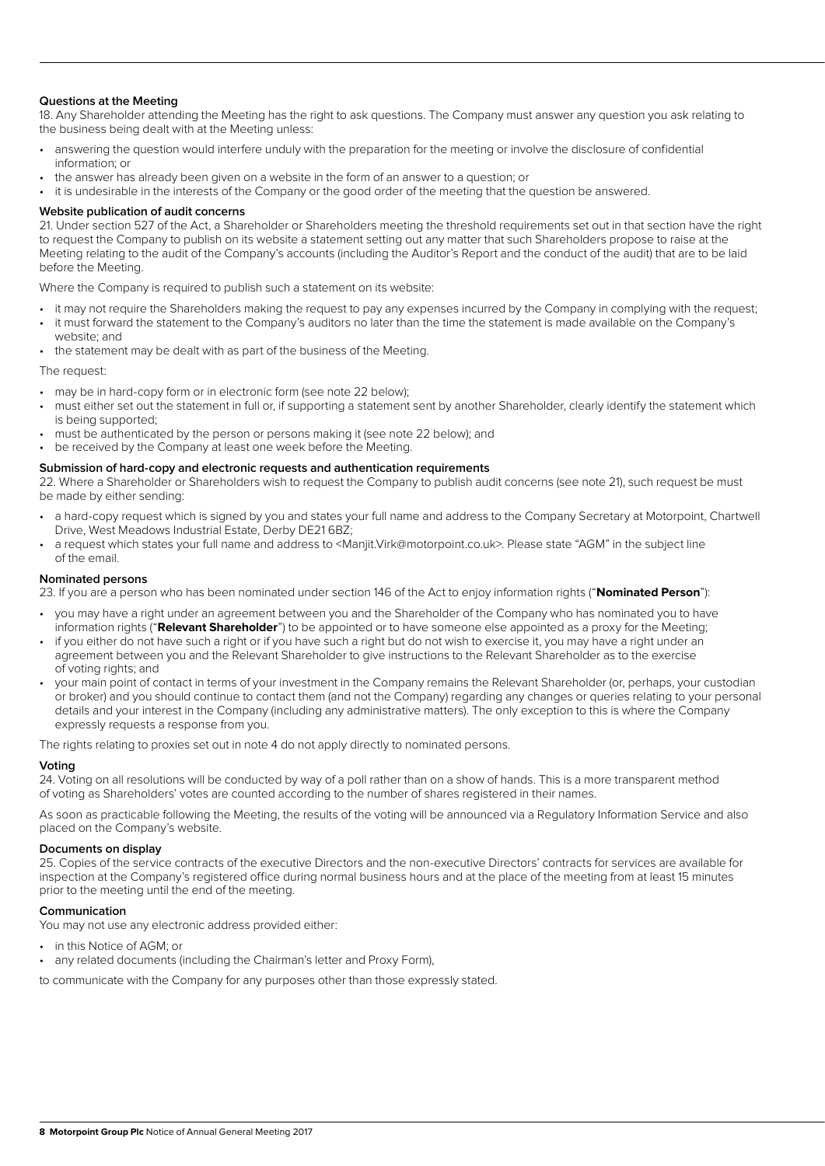# **Questions at the Meeting**

18. Any Shareholder attending the Meeting has the right to ask questions. The Company must answer any question you ask relating to the business being dealt with at the Meeting unless:

- answering the question would interfere unduly with the preparation for the meeting or involve the disclosure of confidential information; or
- the answer has already been given on a website in the form of an answer to a question; or

• it is undesirable in the interests of the Company or the good order of the meeting that the question be answered.

#### **Website publication of audit concerns**

21. Under section 527 of the Act, a Shareholder or Shareholders meeting the threshold requirements set out in that section have the right to request the Company to publish on its website a statement setting out any matter that such Shareholders propose to raise at the Meeting relating to the audit of the Company's accounts (including the Auditor's Report and the conduct of the audit) that are to be laid before the Meeting.

Where the Company is required to publish such a statement on its website:

- it may not require the Shareholders making the request to pay any expenses incurred by the Company in complying with the request; • it must forward the statement to the Company's auditors no later than the time the statement is made available on the Company's
- website; and the statement may be dealt with as part of the business of the Meeting.

The request:

- may be in hard-copy form or in electronic form (see note 22 below);
- must either set out the statement in full or, if supporting a statement sent by another Shareholder, clearly identify the statement which is being supported;
- must be authenticated by the person or persons making it (see note 22 below); and
- be received by the Company at least one week before the Meeting.

#### **Submission of hard-copy and electronic requests and authentication requirements**

22. Where a Shareholder or Shareholders wish to request the Company to publish audit concerns (see note 21), such request be must be made by either sending:

- a hard-copy request which is signed by you and states your full name and address to the Company Secretary at Motorpoint, Chartwell Drive, West Meadows Industrial Estate, Derby DE21 6BZ;
- a request which states your full name and address to <Manjit.Virk@motorpoint.co.uk>. Please state "AGM" in the subject line of the email.

#### **Nominated persons**

23. If you are a person who has been nominated under section 146 of the Act to enjoy information rights ("**Nominated Person**"):

- you may have a right under an agreement between you and the Shareholder of the Company who has nominated you to have information rights ("**Relevant Shareholder**") to be appointed or to have someone else appointed as a proxy for the Meeting;
- if you either do not have such a right or if you have such a right but do not wish to exercise it, you may have a right under an agreement between you and the Relevant Shareholder to give instructions to the Relevant Shareholder as to the exercise of voting rights; and
- your main point of contact in terms of your investment in the Company remains the Relevant Shareholder (or, perhaps, your custodian or broker) and you should continue to contact them (and not the Company) regarding any changes or queries relating to your personal details and your interest in the Company (including any administrative matters). The only exception to this is where the Company expressly requests a response from you.

The rights relating to proxies set out in note 4 do not apply directly to nominated persons.

# **Voting**

24. Voting on all resolutions will be conducted by way of a poll rather than on a show of hands. This is a more transparent method of voting as Shareholders' votes are counted according to the number of shares registered in their names.

As soon as practicable following the Meeting, the results of the voting will be announced via a Regulatory Information Service and also placed on the Company's website.

#### **Documents on display**

25. Copies of the service contracts of the executive Directors and the non-executive Directors' contracts for services are available for inspection at the Company's registered office during normal business hours and at the place of the meeting from at least 15 minutes prior to the meeting until the end of the meeting.

# **Communication**

You may not use any electronic address provided either:

- in this Notice of AGM; or
- any related documents (including the Chairman's letter and Proxy Form),

to communicate with the Company for any purposes other than those expressly stated.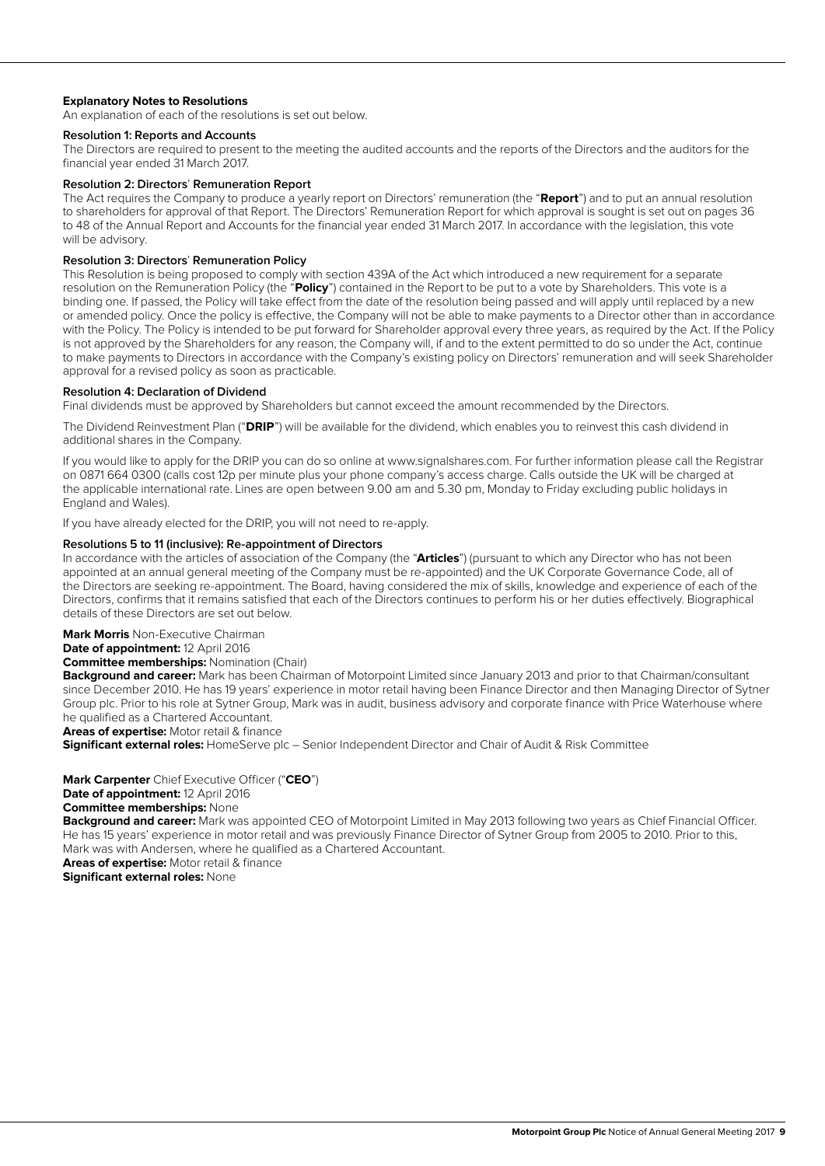# **Explanatory Notes to Resolutions**

An explanation of each of the resolutions is set out below.

#### **Resolution 1: Reports and Accounts**

The Directors are required to present to the meeting the audited accounts and the reports of the Directors and the auditors for the financial year ended 31 March 2017.

#### **Resolution 2: Directors**' **Remuneration Report**

The Act requires the Company to produce a yearly report on Directors' remuneration (the "**Report**") and to put an annual resolution to shareholders for approval of that Report. The Directors' Remuneration Report for which approval is sought is set out on pages 36 to 48 of the Annual Report and Accounts for the financial year ended 31 March 2017. In accordance with the legislation, this vote will be advisory.

## **Resolution 3: Directors**' **Remuneration Policy**

This Resolution is being proposed to comply with section 439A of the Act which introduced a new requirement for a separate resolution on the Remuneration Policy (the "**Policy**") contained in the Report to be put to a vote by Shareholders. This vote is a binding one. If passed, the Policy will take effect from the date of the resolution being passed and will apply until replaced by a new or amended policy. Once the policy is effective, the Company will not be able to make payments to a Director other than in accordance with the Policy. The Policy is intended to be put forward for Shareholder approval every three years, as required by the Act. If the Policy is not approved by the Shareholders for any reason, the Company will, if and to the extent permitted to do so under the Act, continue to make payments to Directors in accordance with the Company's existing policy on Directors' remuneration and will seek Shareholder approval for a revised policy as soon as practicable.

#### **Resolution 4: Declaration of Dividend**

Final dividends must be approved by Shareholders but cannot exceed the amount recommended by the Directors.

The Dividend Reinvestment Plan ("**DRIP**") will be available for the dividend, which enables you to reinvest this cash dividend in additional shares in the Company.

If you would like to apply for the DRIP you can do so online at www.signalshares.com. For further information please call the Registrar on 0871 664 0300 (calls cost 12p per minute plus your phone company's access charge. Calls outside the UK will be charged at the applicable international rate. Lines are open between 9.00 am and 5.30 pm, Monday to Friday excluding public holidays in England and Wales).

If you have already elected for the DRIP, you will not need to re-apply.

# **Resolutions 5 to 11 (inclusive): Re-appointment of Directors**

In accordance with the articles of association of the Company (the "**Articles**") (pursuant to which any Director who has not been appointed at an annual general meeting of the Company must be re-appointed) and the UK Corporate Governance Code, all of the Directors are seeking re-appointment. The Board, having considered the mix of skills, knowledge and experience of each of the Directors, confirms that it remains satisfied that each of the Directors continues to perform his or her duties effectively. Biographical details of these Directors are set out below.

# **Mark Morris** Non-Executive Chairman

**Date of appointment:** 12 April 2016

**Committee memberships:** Nomination (Chair)

**Background and career:** Mark has been Chairman of Motorpoint Limited since January 2013 and prior to that Chairman/consultant since December 2010. He has 19 years' experience in motor retail having been Finance Director and then Managing Director of Sytner Group plc. Prior to his role at Sytner Group, Mark was in audit, business advisory and corporate finance with Price Waterhouse where he qualified as a Chartered Accountant.

**Areas of expertise:** Motor retail & finance

**Significant external roles:** HomeServe plc – Senior Independent Director and Chair of Audit & Risk Committee

# **Mark Carpenter** Chief Executive Officer ("**CEO**")

# **Date of appointment:** 12 April 2016

**Committee memberships:** None

**Background and career:** Mark was appointed CEO of Motorpoint Limited in May 2013 following two years as Chief Financial Officer. He has 15 years' experience in motor retail and was previously Finance Director of Sytner Group from 2005 to 2010. Prior to this, Mark was with Andersen, where he qualified as a Chartered Accountant.

**Areas of expertise:** Motor retail & finance

**Significant external roles:** None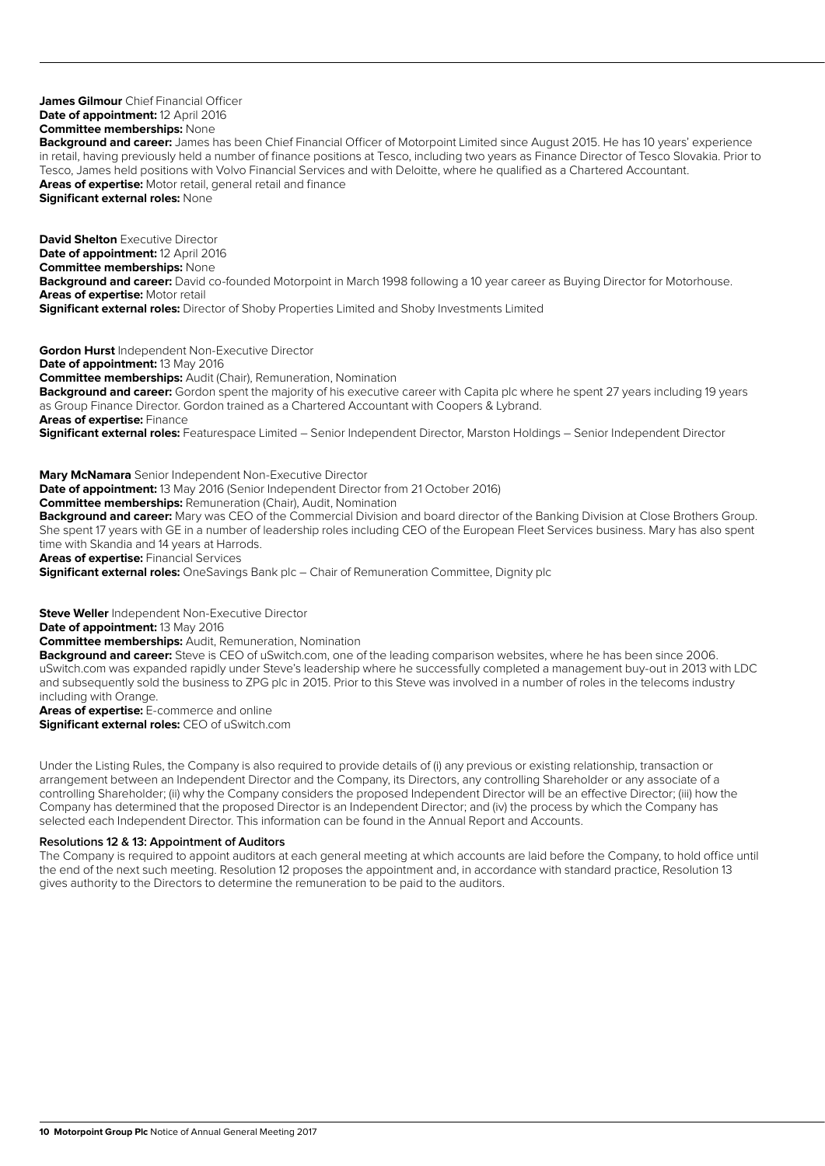#### **James Gilmour** Chief Financial Officer **Date of appointment:** 12 April 2016 **Committee memberships:** None

**Background and career:** James has been Chief Financial Officer of Motorpoint Limited since August 2015. He has 10 years' experience in retail, having previously held a number of finance positions at Tesco, including two years as Finance Director of Tesco Slovakia. Prior to Tesco, James held positions with Volvo Financial Services and with Deloitte, where he qualified as a Chartered Accountant. **Areas of expertise:** Motor retail, general retail and finance **Significant external roles:** None

**David Shelton** Executive Director **Date of appointment: 12 April 2016 Committee memberships:** None **Background and career:** David co-founded Motorpoint in March 1998 following a 10 year career as Buying Director for Motorhouse. **Areas of expertise:** Motor retail **Significant external roles:** Director of Shoby Properties Limited and Shoby Investments Limited

**Gordon Hurst** Independent Non-Executive Director **Date of appointment:** 13 May 2016 **Committee memberships:** Audit (Chair), Remuneration, Nomination **Background and career:** Gordon spent the majority of his executive career with Capita plc where he spent 27 years including 19 years as Group Finance Director. Gordon trained as a Chartered Accountant with Coopers & Lybrand. **Areas of expertise:** Finance

**Significant external roles:** Featurespace Limited – Senior Independent Director, Marston Holdings – Senior Independent Director

**Mary McNamara** Senior Independent Non-Executive Director **Date of appointment:** 13 May 2016 (Senior Independent Director from 21 October 2016) **Committee memberships:** Remuneration (Chair), Audit, Nomination **Background and career:** Mary was CEO of the Commercial Division and board director of the Banking Division at Close Brothers Group. She spent 17 years with GE in a number of leadership roles including CEO of the European Fleet Services business. Mary has also spent time with Skandia and 14 years at Harrods. **Areas of expertise:** Financial Services

**Significant external roles:** OneSavings Bank plc – Chair of Remuneration Committee, Dignity plc

**Steve Weller** Independent Non-Executive Director

**Date of appointment:** 13 May 2016

**Committee memberships:** Audit, Remuneration, Nomination

**Background and career:** Steve is CEO of uSwitch.com, one of the leading comparison websites, where he has been since 2006. uSwitch.com was expanded rapidly under Steve's leadership where he successfully completed a management buy-out in 2013 with LDC and subsequently sold the business to ZPG plc in 2015. Prior to this Steve was involved in a number of roles in the telecoms industry including with Orange.

**Areas of expertise:** E-commerce and online

**Significant external roles:** CEO of uSwitch.com

Under the Listing Rules, the Company is also required to provide details of (i) any previous or existing relationship, transaction or arrangement between an Independent Director and the Company, its Directors, any controlling Shareholder or any associate of a controlling Shareholder; (ii) why the Company considers the proposed Independent Director will be an effective Director; (iii) how the Company has determined that the proposed Director is an Independent Director; and (iv) the process by which the Company has selected each Independent Director. This information can be found in the Annual Report and Accounts.

#### **Resolutions 12 & 13: Appointment of Auditors**

The Company is required to appoint auditors at each general meeting at which accounts are laid before the Company, to hold office until the end of the next such meeting. Resolution 12 proposes the appointment and, in accordance with standard practice, Resolution 13 gives authority to the Directors to determine the remuneration to be paid to the auditors.